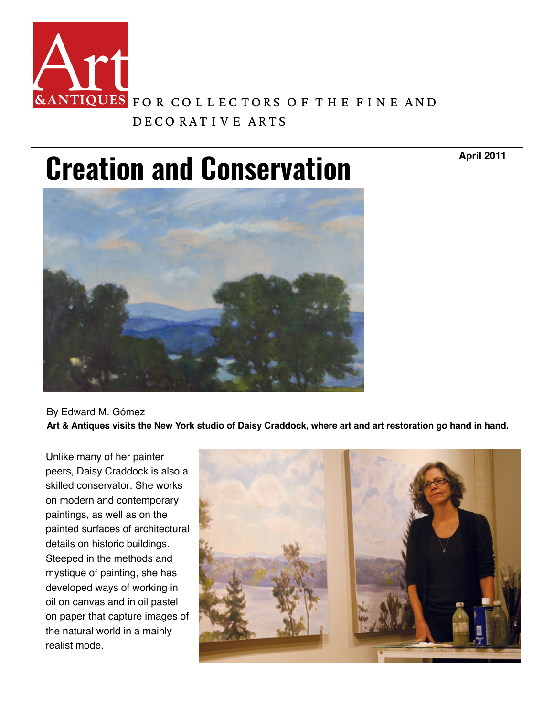

**Creation [and Conservation](https://www.artandantiquesmag.com/)**

**April 2011**



By Edward M. [Gómez](https://www.artandantiquesmag.com/contact-us/) **Art & Antiques visits the New York studio of Daisy Craddock, where art and art restoration go hand in hand.** 

Unlike many of her painter peers, Daisy Craddock is also a skilled conservator. She works on modern and contemporary paintings, as well as on the painted surfaces of architectural details on historic buildings. Steeped in the methods and mystique of painting, she has developed ways of working in oil on canvas and in oil pastel on paper that capture images of the natural world in a mainly realist mode.

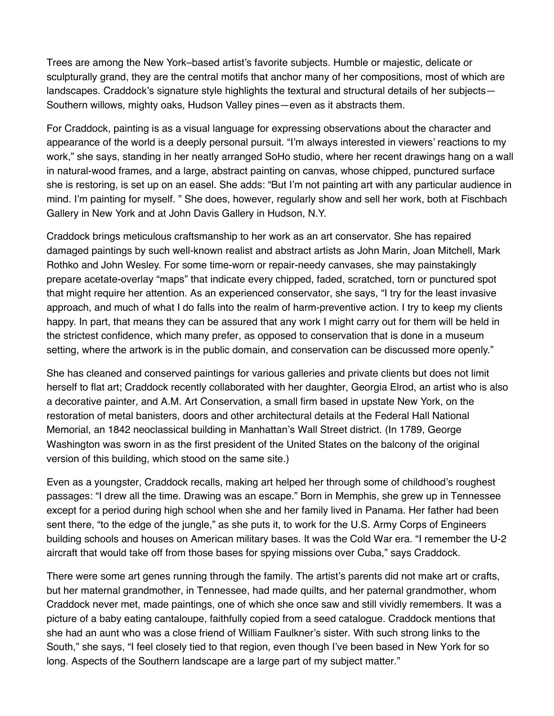Trees are among the New York–based artist's favorite subjects. Humble or majestic, delicate or sculpturally grand, they are the central motifs that anchor many of her compositions, [most of which are](https://gallery1202.com/)  landscapes. Craddock's signature style highlights the textural and structural details of her subjects— Southern willows, mighty oaks, Hudson Valley pines—even as it abstracts them.

For Craddock, painting is as a visual language for expressing observations about the character and appearance of the world is a deeply personal pursuit. "I'm always interested in viewers' reactions to my work," she says, standing in her neatly arranged SoHo studio, where her recent dra[wings hang on a wall](https://www.thewadsworth.org/paulmanship/)  in natural-wood frames, and a large, abstract painting on canvas, whose chipped, punctured surface she is restoring, is set up on an easel. She adds: "But I'm not painting art with any particular audience in mind. I'm painting for myself. " She does, however, regularly show and sell her work, both at Fischbach Gallery in New York and at John Davis Gallery in Hudson, N.Y.

Craddock brings meticulous craftsmanship to her work as an art conservator. She has repaired damaged paintings by such well-known realist and abstract artists as John Marin, Jo[an Mitchell, Mark](https://woodwardgallery.net/)  Rothko and John Wesley. For some time-worn or repair-needy canvases, she may painstakingly prepare acetate-overlay "maps" that indicate every chipped, faded, scratched, torn or punctured spot that might require her attention. As an experienced conservator, she says, "I try for the least invasive approach, and much of what I do falls into the realm of harm-preventive action. I try [to keep my clients](https://www.bluespiral1.com/)  happy. In part, that means they can be assured that any work I might carry out for them will be held in the strictest confidence, which many prefer, as opposed to conservation that is done in a museum setting, where the artwork is in the public domain, and conservation can be discussed more openly."

She has cleaned and conserved paintings for various galleries and private clients but does not limit herself to flat art; Craddock recently collaborated with her daughter, Georgia Elrod, [an artist who is also](https://scottsdaleartauction.com/)  a decorative painter, and A.M. Art Conservation, a small firm based in upstate New York, on the restoration of metal banisters, doors and other architectural details at the Federal Hall National Memorial, an 1842 neoclassical building in Manhattan's Wall Street district. (In 1789, George Washington was sworn in as the first president of the United States on the balcony of the original version of this building, which stood on the same site.)

Even as a youngster, Craddock recalls, making art helped her through some of childhood's roughest passages: "I drew all the time. Drawing was an escape." Born in Memphis, she grew [up in Tennessee](https://www.chihuly.com/shop/edition-artwork/glass)  except for a period during high school when she and her family lived in Panama. Her father had been sent there, "to the edge of the jungle," as she puts it, to work for the U.S. Army Corps of Engineers building schools and houses on American military bases. It was the Cold War era. "I [remember the U-2](https://www.jeraldmelberg.com/)  aircraft that would take off from those bases for spying missions over Cuba," says Craddock.

There were some art genes running through the family. The artist's parents did not make art or crafts, but her maternal grandmother, in Tennessee, had made quilts, and her paternal grandmother, whom Craddock never met, made paintings, one of which she once saw and still vividly re[members. It was a](https://chrysler.org/exhibition/americans-in-spain/)  picture of a baby eating cantaloupe, faithfully copied from a seed catalogue. Craddock mentions that she had an aunt who was a close friend of William Faulkner's sister. With such strong links to the South," she says, "I feel closely tied to that region, even though I've been based in New York for so long. Aspects of the Southern landscape are a large part of my subject matter."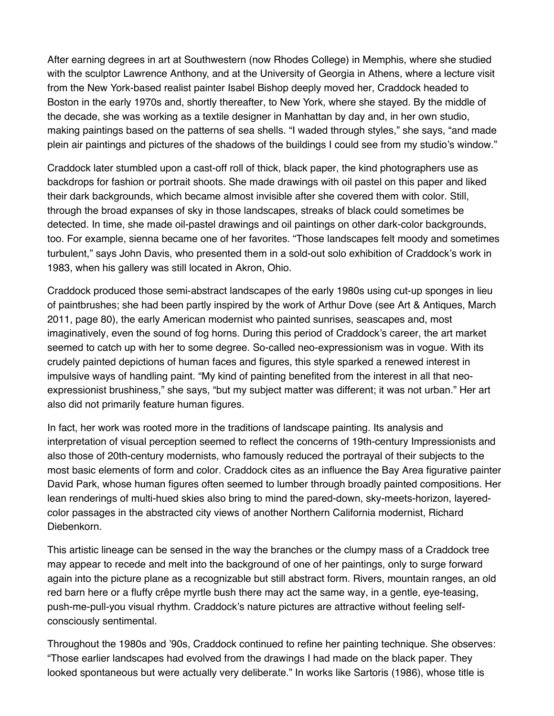After earning degrees in art at Southwestern (now Rhodes College) in Memphis, wh[ere she studied](https://chrysler.org/exhibition/americans-in-spain/)  with the sculptor Lawrence Anthony, and at the University of Georgia in Athens, where a lecture visit from the New York-based realist painter Isabel Bishop deeply moved her, Craddock headed to Boston in the early 1970s and, shortly thereafter, to New York, where she stayed. By the middle of the decade, she was working as a textile designer in Manhattan by day and, in her own studio, making paintings based on the patterns of sea shells. "I waded through styles," she [says, "and made](https://jeandemerry.com/artisan/cobie-russell/)  plein air paintings and pictures of the shadows of the buildings I could see from my studio's window."

Craddock later stumbled upon a cast-off roll of thick, black paper, the kind photographers use as backdrops for fashion or portrait shoots. She made drawings with oil pastel on this paper and liked their dark backgrounds, which became almost invisible after she covered them with color. Still, through the broad expanses of sky in those landscapes, streaks of black could sometimes be detected. In time, she made oil-pastel drawings and oil paintings on other dark-color [backgrounds,](https://www.andrewjonesauctions.com/)  too. For example, sienna became one of her favorites. "Those landscapes felt moody and sometimes turbulent," says John Davis, who presented them in a sold-out solo exhibition of Craddock's work in 1983, when his gallery was still located in Akron, Ohio.

Craddock produced those semi-abstract landscapes of the early 1980s using cut-up [sponges in lieu](https://www.artemisgallery.com/)  of paintbrushes; she had been partly inspired by the work of Arthur Dove (see Art & Antiques, March 2011, page 80), the early American modernist who painted sunrises, seascapes and, most imaginatively, even the sound of fog horns. During this period of Craddock's career, the art market seemed to catch up with her to some degree. So-called neo-expressionism was in vogue. With its crudely painted depictions of human faces and figures, this style sparked a renewed interest in impulsive ways of handling paint. "My kind of painting benefited from the interest in all that neoexpressionist brushiness," she says, "but my subject matter was different; it was not urban." Her art also did not primarily feature human figures.

In fact, her work was rooted more in the traditions of landscape painting. Its analysis and interpretation of visual perception seemed to reflect the concerns of 19th-century Impressionists and also those of 20th-century modernists, who famously reduced the portrayal of their subjects to the most basic elements of form and color. Craddock cites as an influence the Bay Area figurative painter David Park, whose human figures often seemed to lumber through broadly painted compositions. Her lean renderings of multi-hued skies also bring to mind the pared-down, sky-meets-horizon, layeredcolor passages in the abstracted city views of another Northern California modernist, Richard Diebenkorn.

This artistic lineage can be sensed in the way the branches or the clumpy mass of a Craddock tree may appear to recede and melt into the background of one of her paintings, only to surge forward again into the picture plane as a recognizable but still abstract form. Rivers, mountain ranges, an old red barn here or a fluffy crêpe myrtle bush there may act the same way, in a gentle, eye-teasing, push-me-pull-you visual rhythm. Craddock's nature pictures are attractive without feeling selfconsciously sentimental.

Throughout the 1980s and '90s, Craddock continued to refine her painting technique. She observes: "Those earlier landscapes had evolved from the drawings I had made on the black paper. They looked spontaneous but were actually very deliberate." In works like Sartoris (1986), whose title is